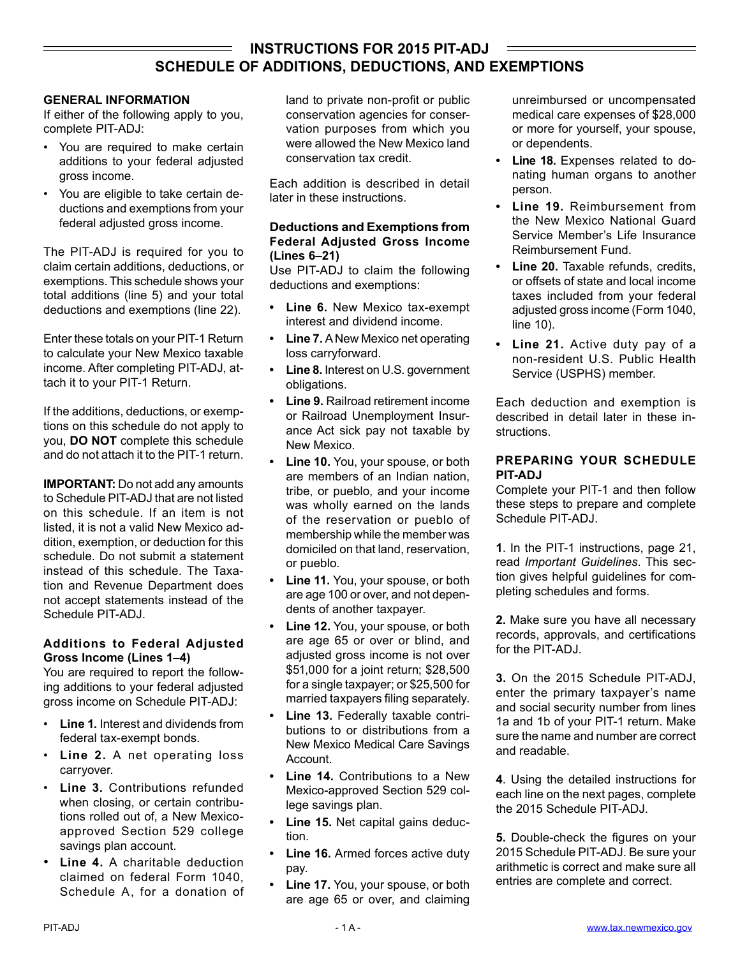## **INSTRUCTIONS FOR 2015 PIT-ADJ SCHEDULE OF ADDITIONS, DEDUCTIONS, AND EXEMPTIONS**

## **GENERAL INFORMATION**

If either of the following apply to you, complete PIT-ADJ:

- You are required to make certain additions to your federal adjusted gross income.
- You are eligible to take certain deductions and exemptions from your federal adjusted gross income.

The PIT-ADJ is required for you to claim certain additions, deductions, or exemptions. This schedule shows your total additions (line 5) and your total deductions and exemptions (line 22).

Enter these totals on your PIT-1 Return to calculate your New Mexico taxable income. After completing PIT-ADJ, attach it to your PIT-1 Return.

If the additions, deductions, or exemptions on this schedule do not apply to you, **DO NOT** complete this schedule and do not attach it to the PIT-1 return.

**IMPORTANT:** Do not add any amounts to Schedule PIT-ADJ that are not listed on this schedule. If an item is not listed, it is not a valid New Mexico addition, exemption, or deduction for this schedule. Do not submit a statement instead of this schedule. The Taxation and Revenue Department does not accept statements instead of the Schedule PIT-ADJ.

## **Additions to Federal Adjusted Gross Income (Lines 1–4)**

You are required to report the following additions to your federal adjusted gross income on Schedule PIT-ADJ:

- **Line 1.** Interest and dividends from federal tax-exempt bonds.
- **Line 2.** A net operating loss carryover.
- **Line 3.** Contributions refunded when closing, or certain contributions rolled out of, a New Mexicoapproved Section 529 college savings plan account.
- **Line 4.** A charitable deduction claimed on federal Form 1040, Schedule A, for a donation of

land to private non-profit or public conservation agencies for conservation purposes from which you were allowed the New Mexico land conservation tax credit.

Each addition is described in detail later in these instructions.

## **Deductions and Exemptions from Federal Adjusted Gross Income (Lines 6–21)**

Use PIT-ADJ to claim the following deductions and exemptions:

- **• Line 6.** New Mexico tax-exempt interest and dividend income.
- **• Line 7.** A New Mexico net operating loss carryforward.
- **• Line 8.** Interest on U.S. government obligations.
- **• Line 9.** Railroad retirement income or Railroad Unemployment Insurance Act sick pay not taxable by New Mexico.
- **• Line 10.** You, your spouse, or both are members of an Indian nation, tribe, or pueblo, and your income was wholly earned on the lands of the reservation or pueblo of membership while the member was domiciled on that land, reservation, or pueblo.
- **• Line 11.** You, your spouse, or both are age 100 or over, and not dependents of another taxpayer.
- **• Line 12.** You, your spouse, or both are age 65 or over or blind, and adjusted gross income is not over \$51,000 for a joint return; \$28,500 for a single taxpayer; or \$25,500 for married taxpayers filing separately.
- **• Line 13.** Federally taxable contributions to or distributions from a New Mexico Medical Care Savings **Account**
- **• Line 14.** Contributions to a New Mexico-approved Section 529 college savings plan.
- **• Line 15.** Net capital gains deduction.
- **Line 16.** Armed forces active duty pay.
- **• Line 17.** You, your spouse, or both are age 65 or over, and claiming

unreimbursed or uncompensated medical care expenses of \$28,000 or more for yourself, your spouse, or dependents.

- **• Line 18.** Expenses related to donating human organs to another person.
- **• Line 19.** Reimbursement from the New Mexico National Guard Service Member's Life Insurance Reimbursement Fund.
- **• Line 20.** Taxable refunds, credits, or offsets of state and local income taxes included from your federal adjusted gross income (Form 1040, line 10).
- **• Line 21.** Active duty pay of a non-resident U.S. Public Health Service (USPHS) member.

Each deduction and exemption is described in detail later in these instructions.

## **PREPARING YOUR SCHEDULE PIT-ADJ**

Complete your PIT-1 and then follow these steps to prepare and complete Schedule PIT-ADJ.

**1**. In the PIT-1 instructions, page 21, read *Important Guidelines*. This section gives helpful guidelines for completing schedules and forms.

**2.** Make sure you have all necessary records, approvals, and certifications for the PIT-ADJ.

**3.** On the 2015 Schedule PIT-ADJ, enter the primary taxpayer's name and social security number from lines 1a and 1b of your PIT-1 return. Make sure the name and number are correct and readable.

**4**. Using the detailed instructions for each line on the next pages, complete the 2015 Schedule PIT-ADJ.

**5.** Double-check the figures on your 2015 Schedule PIT-ADJ. Be sure your arithmetic is correct and make sure all entries are complete and correct.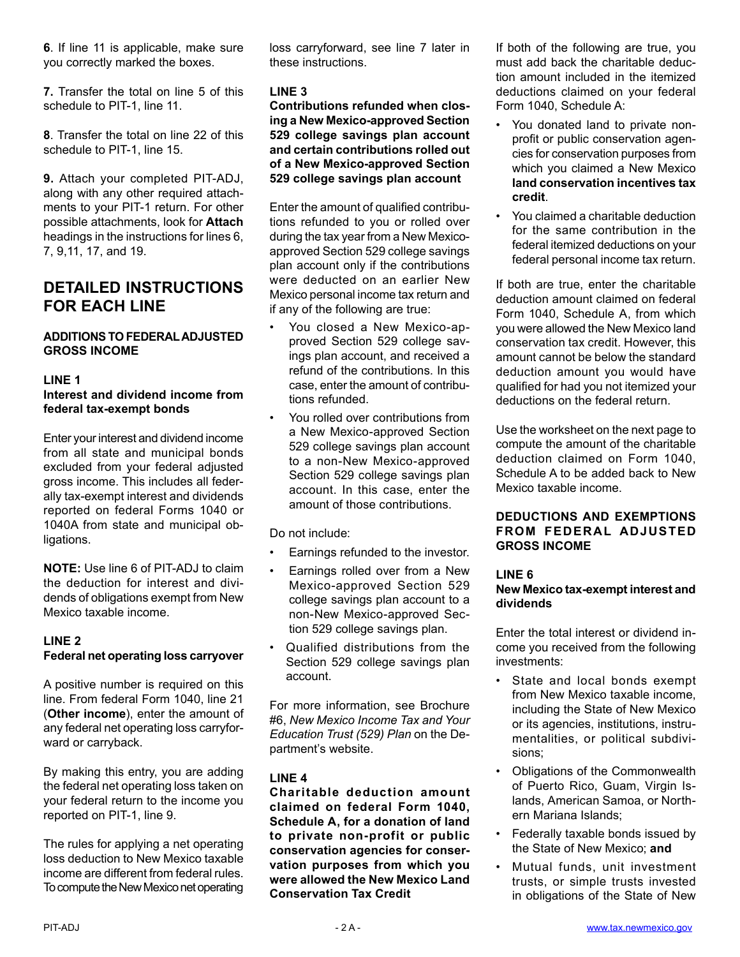**6**. If line 11 is applicable, make sure you correctly marked the boxes.

**7.** Transfer the total on line 5 of this schedule to PIT-1, line 11.

**8**. Transfer the total on line 22 of this schedule to PIT-1, line 15.

**9.** Attach your completed PIT-ADJ, along with any other required attachments to your PIT-1 return. For other possible attachments, look for **Attach** headings in the instructions for lines 6, 7, 9,11, 17, and 19.

# **DETAILED INSTRUCTIONS FOR EACH LINE**

## **ADDITIONS TO FEDERAL ADJUSTED GROSS INCOME**

## **LINE 1**

## **Interest and dividend income from federal tax-exempt bonds**

Enter your interest and dividend income from all state and municipal bonds excluded from your federal adjusted gross income. This includes all federally tax-exempt interest and dividends reported on federal Forms 1040 or 1040A from state and municipal obligations.

**NOTE:** Use line 6 of PIT-ADJ to claim the deduction for interest and dividends of obligations exempt from New Mexico taxable income.

## **LINE 2 Federal net operating loss carryover**

A positive number is required on this line. From federal Form 1040, line 21 (**Other income**), enter the amount of any federal net operating loss carryforward or carryback.

By making this entry, you are adding the federal net operating loss taken on your federal return to the income you reported on PIT-1, line 9.

The rules for applying a net operating loss deduction to New Mexico taxable income are different from federal rules. To compute the New Mexico net operating

loss carryforward, see line 7 later in these instructions.

## **LINE 3**

**Contributions refunded when closing a New Mexico-approved Section 529 college savings plan account and certain contributions rolled out of a New Mexico-approved Section 529 college savings plan account**

Enter the amount of qualified contributions refunded to you or rolled over during the tax year from a New Mexicoapproved Section 529 college savings plan account only if the contributions were deducted on an earlier New Mexico personal income tax return and if any of the following are true:

- You closed a New Mexico-approved Section 529 college savings plan account, and received a refund of the contributions. In this case, enter the amount of contributions refunded.
- You rolled over contributions from a New Mexico-approved Section 529 college savings plan account to a non-New Mexico-approved Section 529 college savings plan account. In this case, enter the amount of those contributions.

Do not include:

- Earnings refunded to the investor.
- Earnings rolled over from a New Mexico-approved Section 529 college savings plan account to a non-New Mexico-approved Section 529 college savings plan.
- Qualified distributions from the Section 529 college savings plan account.

For more information, see [Brochure](http://www.tax.newmexico.gov/SiteCollectionDocuments/Publications/Brochures/Brochure-6-%20Personal-Income-Tax-and-Education-Trusts-529-Plans-11-08.pdf)  #6, *[New Mexico Income Tax and Your](http://www.tax.newmexico.gov/SiteCollectionDocuments/Publications/Brochures/Brochure-6-%20Personal-Income-Tax-and-Education-Trusts-529-Plans-11-08.pdf)  [Education Trust \(529\) Plan](http://www.tax.newmexico.gov/SiteCollectionDocuments/Publications/Brochures/Brochure-6-%20Personal-Income-Tax-and-Education-Trusts-529-Plans-11-08.pdf)* on the Department's website.

## **LINE 4**

**Charitable deduction amount claimed on federal Form 1040, Schedule A, for a donation of land to private non-profit or public conservation agencies for conservation purposes from which you were allowed the New Mexico Land Conservation Tax Credit**

If both of the following are true, you must add back the charitable deduction amount included in the itemized deductions claimed on your federal Form 1040, Schedule A:

- You donated land to private nonprofit or public conservation agencies for conservation purposes from which you claimed a New Mexico **land conservation incentives tax credit**.
- You claimed a charitable deduction for the same contribution in the federal itemized deductions on your federal personal income tax return.

If both are true, enter the charitable deduction amount claimed on federal Form 1040, Schedule A, from which you were allowed the New Mexico land conservation tax credit. However, this amount cannot be below the standard deduction amount you would have qualified for had you not itemized your deductions on the federal return.

Use the worksheet on the next page to compute the amount of the charitable deduction claimed on Form 1040, Schedule A to be added back to New Mexico taxable income.

## **DEDUCTIONS AND EXEMPTIONS FROM FEDERAL ADJUSTED GROSS INCOME**

## **LINE 6**

## **New Mexico tax-exempt interest and dividends**

Enter the total interest or dividend income you received from the following investments:

- State and local bonds exempt from New Mexico taxable income, including the State of New Mexico or its agencies, institutions, instrumentalities, or political subdivisions;
- Obligations of the Commonwealth of Puerto Rico, Guam, Virgin Islands, American Samoa, or Northern Mariana Islands;
- Federally taxable bonds issued by the State of New Mexico; **and**
- Mutual funds, unit investment trusts, or simple trusts invested in obligations of the State of New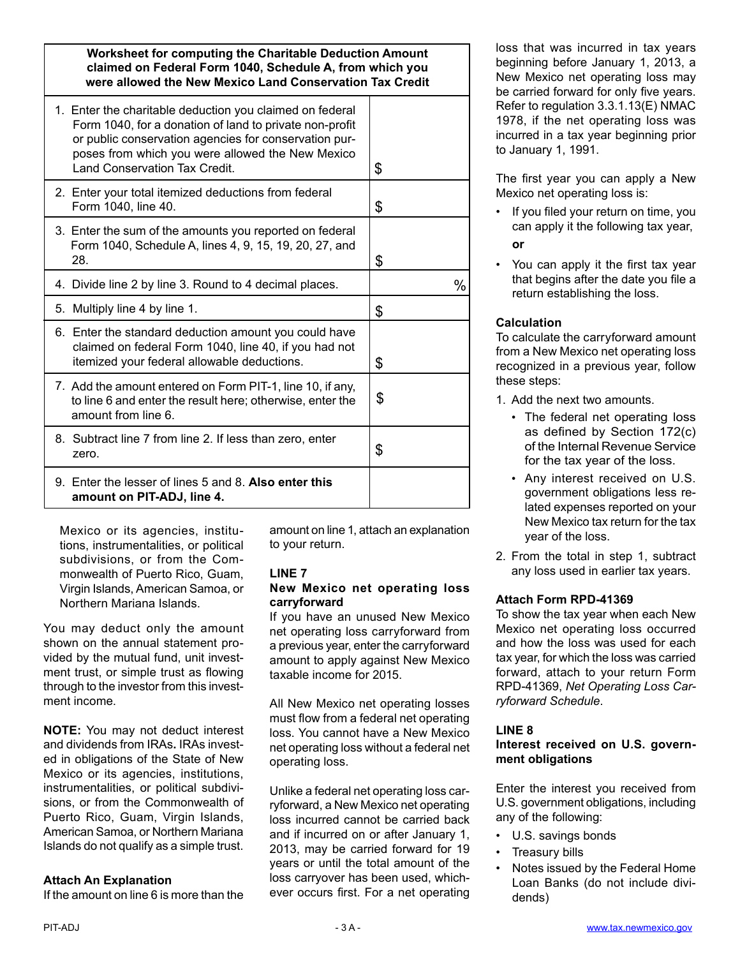**Worksheet for computing the Charitable Deduction Amount claimed on Federal Form 1040, Schedule A, from which you were allowed the New Mexico Land Conservation Tax Credit**

| 1. Enter the charitable deduction you claimed on federal<br>Form 1040, for a donation of land to private non-profit<br>or public conservation agencies for conservation pur-<br>poses from which you were allowed the New Mexico<br><b>Land Conservation Tax Credit.</b> | \$   |
|--------------------------------------------------------------------------------------------------------------------------------------------------------------------------------------------------------------------------------------------------------------------------|------|
| 2. Enter your total itemized deductions from federal<br>Form 1040, line 40.                                                                                                                                                                                              | \$   |
| 3. Enter the sum of the amounts you reported on federal<br>Form 1040, Schedule A, lines 4, 9, 15, 19, 20, 27, and<br>28.                                                                                                                                                 | \$   |
| 4. Divide line 2 by line 3. Round to 4 decimal places.                                                                                                                                                                                                                   | $\%$ |
| 5. Multiply line 4 by line 1.                                                                                                                                                                                                                                            | \$   |
| 6. Enter the standard deduction amount you could have<br>claimed on federal Form 1040, line 40, if you had not<br>itemized your federal allowable deductions.                                                                                                            | \$   |
| 7. Add the amount entered on Form PIT-1, line 10, if any,<br>to line 6 and enter the result here; otherwise, enter the<br>amount from line 6.                                                                                                                            | \$   |
| 8. Subtract line 7 from line 2. If less than zero, enter<br>zero.                                                                                                                                                                                                        | \$   |
| 9. Enter the lesser of lines 5 and 8. Also enter this<br>amount on PIT-ADJ, line 4.                                                                                                                                                                                      |      |

Mexico or its agencies, institutions, instrumentalities, or political subdivisions, or from the Commonwealth of Puerto Rico, Guam, Virgin Islands, American Samoa, or Northern Mariana Islands.

You may deduct only the amount shown on the annual statement provided by the mutual fund, unit investment trust, or simple trust as flowing through to the investor from this investment income.

**NOTE:** You may not deduct interest and dividends from IRAs**.** IRAs invested in obligations of the State of New Mexico or its agencies, institutions, instrumentalities, or political subdivisions, or from the Commonwealth of Puerto Rico, Guam, Virgin Islands, American Samoa, or Northern Mariana Islands do not qualify as a simple trust.

## **Attach An Explanation**

If the amount on line 6 is more than the

amount on line 1, attach an explanation to your return.

#### **LINE 7**

## **New Mexico net operating loss carryforward**

If you have an unused New Mexico net operating loss carryforward from a previous year, enter the carryforward amount to apply against New Mexico taxable income for 2015.

All New Mexico net operating losses must flow from a federal net operating loss. You cannot have a New Mexico net operating loss without a federal net operating loss.

Unlike a federal net operating loss carryforward, a New Mexico net operating loss incurred cannot be carried back and if incurred on or after January 1, 2013, may be carried forward for 19 years or until the total amount of the loss carryover has been used, whichever occurs first. For a net operating

loss that was incurred in tax years beginning before January 1, 2013, a New Mexico net operating loss may be carried forward for only five years. Refer to regulation 3.3.1.13(E) NMAC 1978, if the net operating loss was incurred in a tax year beginning prior to January 1, 1991.

The first year you can apply a New Mexico net operating loss is:

- If you filed your return on time, you can apply it the following tax year,
	- **or**
- You can apply it the first tax year that begins after the date you file a return establishing the loss.

## **Calculation**

To calculate the carryforward amount from a New Mexico net operating loss recognized in a previous year, follow these steps:

1. Add the next two amounts.

- The federal net operating loss as defined by Section 172(c) of the Internal Revenue Service for the tax year of the loss.
- Any interest received on U.S. government obligations less related expenses reported on your New Mexico tax return for the tax year of the loss.
- 2. From the total in step 1, subtract any loss used in earlier tax years.

## **Attach Form RPD-41369**

To show the tax year when each New Mexico net operating loss occurred and how the loss was used for each tax year, for which the loss was carried forward, attach to your return Form RPD-41369, *Net Operating Loss Carryforward Schedule*.

## **LINE 8**

## **Interest received on U.S. government obligations**

Enter the interest you received from U.S. government obligations, including any of the following:

- U.S. savings bonds
- Treasury bills
- Notes issued by the Federal Home Loan Banks (do not include dividends)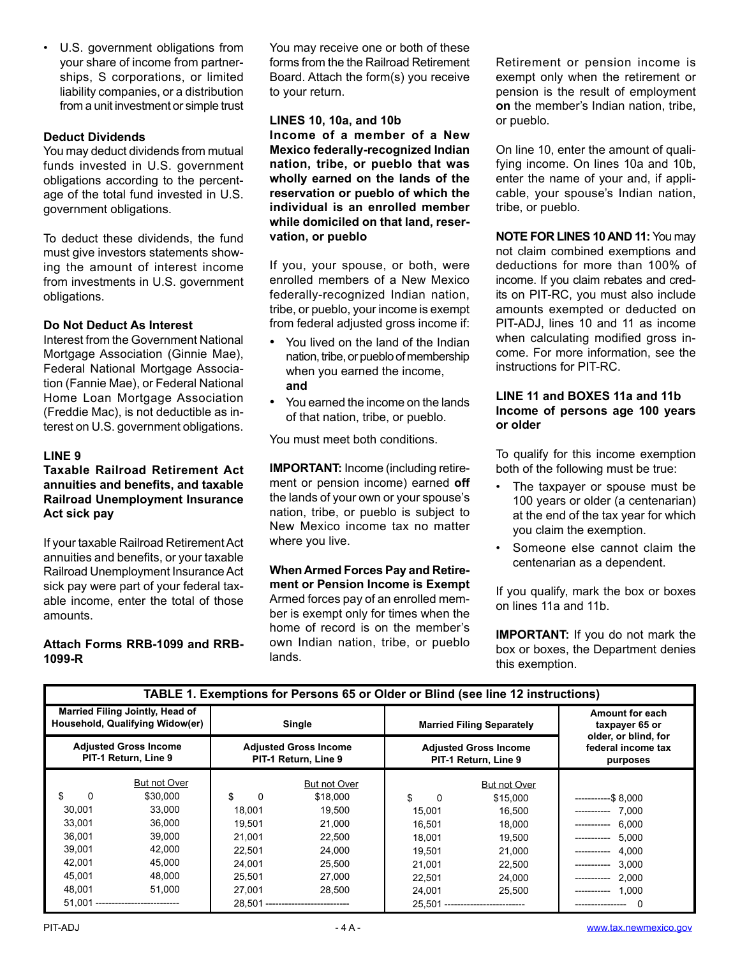• U.S. government obligations from your share of income from partnerships, S corporations, or limited liability companies, or a distribution from a unit investment or simple trust

## **Deduct Dividends**

You may deduct dividends from mutual funds invested in U.S. government obligations according to the percentage of the total fund invested in U.S. government obligations.

To deduct these dividends, the fund must give investors statements showing the amount of interest income from investments in U.S. government obligations.

## **Do Not Deduct As Interest**

Interest from the Government National Mortgage Association (Ginnie Mae), Federal National Mortgage Association (Fannie Mae), or Federal National Home Loan Mortgage Association (Freddie Mac), is not deductible as interest on U.S. government obligations.

## **LINE 9**

## **Taxable Railroad Retirement Act annuities and benefits, and taxable Railroad Unemployment Insurance Act sick pay**

If your taxable Railroad Retirement Act annuities and benefits, or your taxable Railroad Unemployment Insurance Act sick pay were part of your federal taxable income, enter the total of those amounts.

## **Attach Forms RRB-1099 and RRB-1099-R**

You may receive one or both of these forms from the the Railroad Retirement Board. Attach the form(s) you receive to your return.

**LINES 10, 10a, and 10b Income of a member of a New Mexico federally-recognized Indian nation, tribe, or pueblo that was wholly earned on the lands of the reservation or pueblo of which the individual is an enrolled member while domiciled on that land, reservation, or pueblo**

If you, your spouse, or both, were enrolled members of a New Mexico federally-recognized Indian nation, tribe, or pueblo, your income is exempt from federal adjusted gross income if:

- You lived on the land of the Indian nation, tribe, or pueblo of membership when you earned the income, **and**
- You earned the income on the lands of that nation, tribe, or pueblo.

You must meet both conditions.

**IMPORTANT:** Income (including retirement or pension income) earned **off**  the lands of your own or your spouse's nation, tribe, or pueblo is subject to New Mexico income tax no matter where you live.

**When Armed Forces Pay and Retirement or Pension Income is Exempt** Armed forces pay of an enrolled member is exempt only for times when the home of record is on the member's own Indian nation, tribe, or pueblo lands.

Retirement or pension income is exempt only when the retirement or pension is the result of employment **on** the member's Indian nation, tribe, or pueblo.

On line 10, enter the amount of qualifying income. On lines 10a and 10b, enter the name of your and, if applicable, your spouse's Indian nation, tribe, or pueblo.

**NOTE FOR LINES 10 AND 11:** You may not claim combined exemptions and deductions for more than 100% of income. If you claim rebates and credits on PIT-RC, you must also include amounts exempted or deducted on PIT-ADJ, lines 10 and 11 as income when calculating modified gross income. For more information, see the instructions for PIT-RC.

#### **LINE 11 and BOXES 11a and 11b Income of persons age 100 years or older**

To qualify for this income exemption both of the following must be true:

- The taxpayer or spouse must be 100 years or older (a centenarian) at the end of the tax year for which you claim the exemption.
- Someone else cannot claim the centenarian as a dependent.

If you qualify, mark the box or boxes on lines 11a and 11b.

**IMPORTANT:** If you do not mark the box or boxes, the Department denies this exemption.

| <b>IADLE 1. EXEMPTIONS TOF FETSONS 63 OF ORGE OF DIMA (SEE THIS 12 MISTRALIONS)</b> |              |                                                      |                                    |                                                      |                                  |                                                           |  |
|-------------------------------------------------------------------------------------|--------------|------------------------------------------------------|------------------------------------|------------------------------------------------------|----------------------------------|-----------------------------------------------------------|--|
| Married Filing Jointly, Head of<br>Household, Qualifying Widow(er)                  |              | Single                                               |                                    | <b>Married Filing Separately</b>                     |                                  | Amount for each<br>taxpayer 65 or<br>older, or blind, for |  |
| <b>Adjusted Gross Income</b><br>PIT-1 Return, Line 9                                |              | <b>Adjusted Gross Income</b><br>PIT-1 Return, Line 9 |                                    | <b>Adjusted Gross Income</b><br>PIT-1 Return, Line 9 |                                  | federal income tax<br>purposes                            |  |
|                                                                                     | But not Over |                                                      | But not Over                       |                                                      | But not Over                     |                                                           |  |
| \$<br>$\Omega$                                                                      | \$30,000     | \$<br>0                                              | \$18,000                           | \$<br>0                                              | \$15,000                         | $------$8.000$                                            |  |
| 30,001                                                                              | 33,000       | 18,001                                               | 19,500                             | 15,001                                               | 16,500                           | 7.000<br>------------                                     |  |
| 33.001                                                                              | 36.000       | 19.501                                               | 21.000                             | 16.501                                               | 18,000                           | 6.000<br>-----------                                      |  |
| 36,001                                                                              | 39,000       | 21.001                                               | 22,500                             | 18,001                                               | 19,500                           | 5.000<br>------------                                     |  |
| 39,001                                                                              | 42,000       | 22.501                                               | 24,000                             | 19.501                                               | 21,000                           | 4.000<br>------------                                     |  |
| 42.001                                                                              | 45,000       | 24.001                                               | 25,500                             | 21.001                                               | 22,500                           | 3.000                                                     |  |
| 45.001                                                                              | 48,000       | 25.501                                               | 27,000                             | 22,501                                               | 24,000                           | 2.000<br>------------                                     |  |
| 48,001                                                                              | 51,000       | 27,001                                               | 28,500                             | 24,001                                               | 25,500                           | 1.000<br>-----------                                      |  |
| 51.001<br>---------------------------                                               |              |                                                      | 28.501 --------------------------- |                                                      | 25.501 ------------------------- | 0<br>----------------                                     |  |

## **TABLE 1. Exemptions for Persons 65 or Older or Blind (see line 12 instructions)**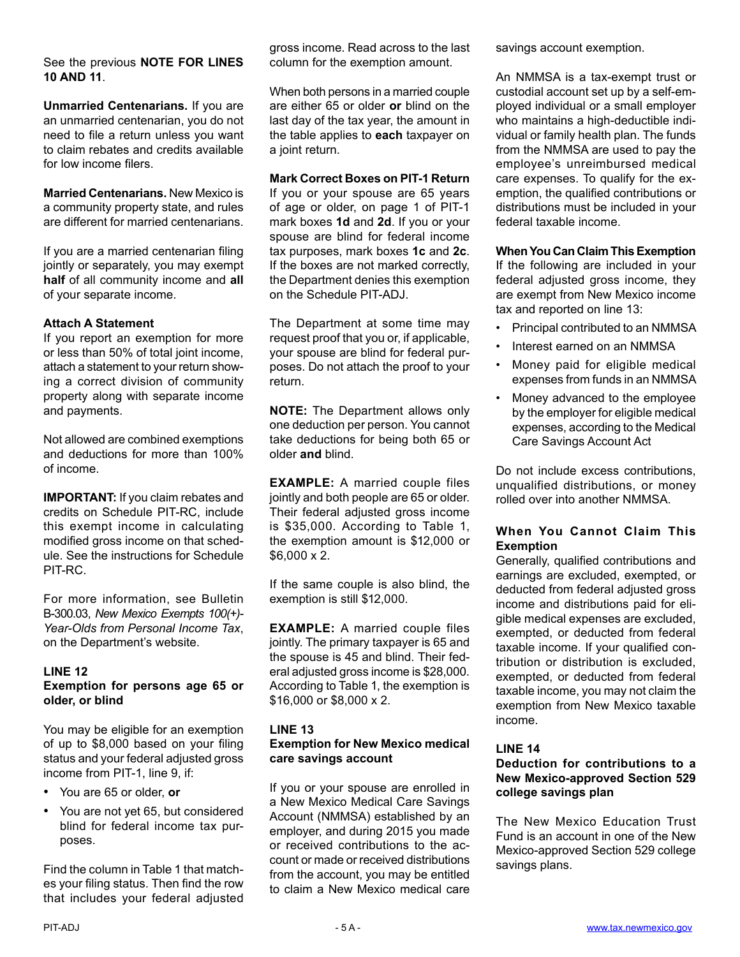#### See the previous **NOTE FOR LINES 10 AND 11**.

**Unmarried Centenarians.** If you are an unmarried centenarian, you do not need to file a return unless you want to claim rebates and credits available for low income filers.

**Married Centenarians.** New Mexico is a community property state, and rules are different for married centenarians.

If you are a married centenarian filing jointly or separately, you may exempt **half** of all community income and **all** of your separate income.

## **Attach A Statement**

If you report an exemption for more or less than 50% of total joint income, attach a statement to your return showing a correct division of community property along with separate income and payments.

Not allowed are combined exemptions and deductions for more than 100% of income.

**IMPORTANT:** If you claim rebates and credits on Schedule PIT-RC, include this exempt income in calculating modified gross income on that schedule. See the instructions for Schedule PIT-RC.

For more information, see Bulletin B-300.03, *[New Mexico Exempts 100\(+\)-](http://www.tax.newmexico.gov/SiteCollectionDocuments/Publications/Bulletins/bul-300-3-pit-exemption-for-centenarians-11-09.pdf)  [Year-Olds from Personal Income Tax](http://www.tax.newmexico.gov/SiteCollectionDocuments/Publications/Bulletins/bul-300-3-pit-exemption-for-centenarians-11-09.pdf)*, on the Department's website.

## **LINE 12**

## **Exemption for persons age 65 or older, or blind**

You may be eligible for an exemption of up to \$8,000 based on your filing status and your federal adjusted gross income from PIT-1, line 9, if:

- You are 65 or older, **or**
- You are not yet 65, but considered blind for federal income tax purposes.

Find the column in Table 1 that matches your filing status. Then find the row that includes your federal adjusted gross income. Read across to the last column for the exemption amount.

When both persons in a married couple are either 65 or older **or** blind on the last day of the tax year, the amount in the table applies to **each** taxpayer on a joint return.

## **Mark Correct Boxes on PIT-1 Return**

If you or your spouse are 65 years of age or older, on page 1 of PIT-1 mark boxes **1d** and **2d**. If you or your spouse are blind for federal income tax purposes, mark boxes **1c** and **2c**. If the boxes are not marked correctly, the Department denies this exemption on the Schedule PIT-ADJ.

The Department at some time may request proof that you or, if applicable, your spouse are blind for federal purposes. Do not attach the proof to your return.

**NOTE:** The Department allows only one deduction per person. You cannot take deductions for being both 65 or older **and** blind.

**EXAMPLE:** A married couple files jointly and both people are 65 or older. Their federal adjusted gross income is \$35,000. According to Table 1, the exemption amount is \$12,000 or \$6,000 x 2.

If the same couple is also blind, the exemption is still \$12,000.

**EXAMPLE:** A married couple files jointly. The primary taxpayer is 65 and the spouse is 45 and blind. Their federal adjusted gross income is \$28,000. According to Table 1, the exemption is \$16,000 or \$8,000 x 2.

## **LINE 13 Exemption for New Mexico medical care savings account**

If you or your spouse are enrolled in a New Mexico Medical Care Savings Account (NMMSA) established by an employer, and during 2015 you made or received contributions to the account or made or received distributions from the account, you may be entitled to claim a New Mexico medical care

savings account exemption.

An NMMSA is a tax-exempt trust or custodial account set up by a self-employed individual or a small employer who maintains a high-deductible individual or family health plan. The funds from the NMMSA are used to pay the employee's unreimbursed medical care expenses. To qualify for the exemption, the qualified contributions or distributions must be included in your federal taxable income.

## **When You Can Claim This Exemption**

If the following are included in your federal adjusted gross income, they are exempt from New Mexico income tax and reported on line 13:

- Principal contributed to an NMMSA
- Interest earned on an NMMSA
- Money paid for eligible medical expenses from funds in an NMMSA
- Money advanced to the employee by the employer for eligible medical expenses, according to the Medical Care Savings Account Act

Do not include excess contributions, unqualified distributions, or money rolled over into another NMMSA.

## **When You Cannot Claim This Exemption**

Generally, qualified contributions and earnings are excluded, exempted, or deducted from federal adjusted gross income and distributions paid for eligible medical expenses are excluded, exempted, or deducted from federal taxable income. If your qualified contribution or distribution is excluded, exempted, or deducted from federal taxable income, you may not claim the exemption from New Mexico taxable income.

## **LINE 14**

## **Deduction for contributions to a New Mexico-approved Section 529 college savings plan**

The New Mexico Education Trust Fund is an account in one of the New Mexico-approved Section 529 college savings plans.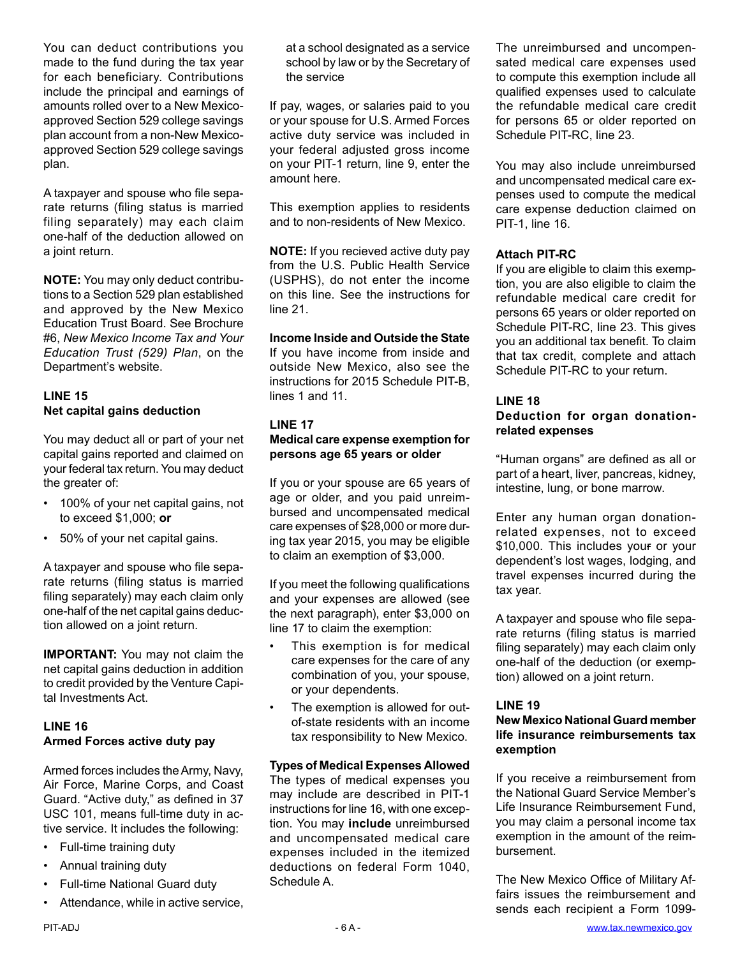You can deduct contributions you made to the fund during the tax year for each beneficiary. Contributions include the principal and earnings of amounts rolled over to a New Mexicoapproved Section 529 college savings plan account from a non-New Mexicoapproved Section 529 college savings plan.

A taxpayer and spouse who file separate returns (filing status is married filing separately) may each claim one-half of the deduction allowed on a joint return.

**NOTE:** You may only deduct contributions to a Section 529 plan established and approved by the New Mexico Education Trust Board. See [Brochure](http://www.tax.newmexico.gov/SiteCollectionDocuments/Publications/Brochures/Brochure-6-%20Personal-Income-Tax-and-Education-Trusts-529-Plans-11-08.pdf)  #6, *[New Mexico Income Tax and Your](http://www.tax.newmexico.gov/SiteCollectionDocuments/Publications/Brochures/Brochure-6-%20Personal-Income-Tax-and-Education-Trusts-529-Plans-11-08.pdf)  [Education Trust \(529\) Plan](http://www.tax.newmexico.gov/SiteCollectionDocuments/Publications/Brochures/Brochure-6-%20Personal-Income-Tax-and-Education-Trusts-529-Plans-11-08.pdf)*, on the Department's website.

## **LINE 15 Net capital gains deduction**

You may deduct all or part of your net capital gains reported and claimed on your federal tax return. You may deduct the greater of:

- 100% of your net capital gains, not to exceed \$1,000; **or**
- 50% of your net capital gains.

A taxpayer and spouse who file separate returns (filing status is married filing separately) may each claim only one-half of the net capital gains deduction allowed on a joint return.

**IMPORTANT:** You may not claim the net capital gains deduction in addition to credit provided by the Venture Capital Investments Act.

## **LINE 16 Armed Forces active duty pay**

Armed forces includes the Army, Navy, Air Force, Marine Corps, and Coast Guard. "Active duty," as defined in 37 USC 101, means full-time duty in active service. It includes the following:

- Full-time training duty
- Annual training duty
- Full-time National Guard duty
- Attendance, while in active service,

at a school designated as a service school by law or by the Secretary of the service

If pay, wages, or salaries paid to you or your spouse for U.S. Armed Forces active duty service was included in your federal adjusted gross income on your PIT-1 return, line 9, enter the amount here.

This exemption applies to residents and to non-residents of New Mexico.

**NOTE:** If you recieved active duty pay from the U.S. Public Health Service (USPHS), do not enter the income on this line. See the instructions for line 21.

**Income Inside and Outside the State** If you have income from inside and outside New Mexico, also see the instructions for 2015 Schedule PIT-B, lines 1 and 11.

## **LINE 17 Medical care expense exemption for persons age 65 years or older**

If you or your spouse are 65 years of age or older, and you paid unreimbursed and uncompensated medical care expenses of \$28,000 or more during tax year 2015, you may be eligible to claim an exemption of \$3,000.

If you meet the following qualifications and your expenses are allowed (see the next paragraph), enter \$3,000 on line 17 to claim the exemption:

- This exemption is for medical care expenses for the care of any combination of you, your spouse, or your dependents.
- The exemption is allowed for outof-state residents with an income tax responsibility to New Mexico.

## **Types of Medical Expenses Allowed**

The types of medical expenses you may include are described in PIT-1 instructions for line 16, with one exception. You may **include** unreimbursed and uncompensated medical care expenses included in the itemized deductions on federal Form 1040, Schedule A.

The unreimbursed and uncompensated medical care expenses used to compute this exemption include all qualified expenses used to calculate the refundable medical care credit for persons 65 or older reported on Schedule PIT-RC, line 23.

You may also include unreimbursed and uncompensated medical care expenses used to compute the medical care expense deduction claimed on PIT-1, line 16.

## **Attach PIT-RC**

If you are eligible to claim this exemption, you are also eligible to claim the refundable medical care credit for persons 65 years or older reported on Schedule PIT-RC, line 23. This gives you an additional tax benefit. To claim that tax credit, complete and attach Schedule PIT-RC to your return.

## **LINE 18**

## **Deduction for organ donationrelated expenses**

"Human organs" are defined as all or part of a heart, liver, pancreas, kidney, intestine, lung, or bone marrow.

Enter any human organ donationrelated expenses, not to exceed \$10,000. This includes your or your dependent's lost wages, lodging, and travel expenses incurred during the tax year.

A taxpayer and spouse who file separate returns (filing status is married filing separately) may each claim only one-half of the deduction (or exemption) allowed on a joint return.

## **LINE 19**

## **New Mexico National Guard member life insurance reimbursements tax exemption**

If you receive a reimbursement from the National Guard Service Member's Life Insurance Reimbursement Fund, you may claim a personal income tax exemption in the amount of the reimbursement.

The New Mexico Office of Military Affairs issues the reimbursement and sends each recipient a Form 1099